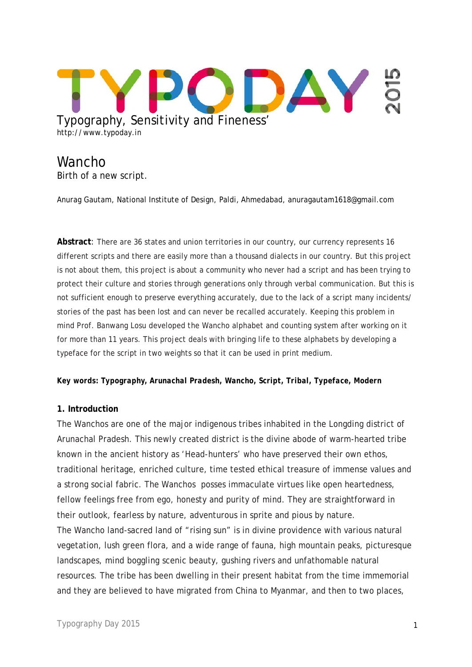

# **Wancho** Birth of a new script.

Anurag Gautam, National Institute of Design, Paldi, Ahmedabad, anuragautam1618@gmail.com

**Abstract**: There are 36 states and union territories in our country, our currency represents 16 different scripts and there are easily more than a thousand dialects in our country. But this project is not about them, this project is about a community who never had a script and has been trying to protect their culture and stories through generations only through verbal communication. But this is not sufficient enough to preserve everything accurately, due to the lack of a script many incidents/ stories of the past has been lost and can never be recalled accurately. Keeping this problem in mind Prof. Banwang Losu developed the Wancho alphabet and counting system after working on it for more than 11 years. This project deals with bringing life to these alphabets by developing a typeface for the script in two weights so that it can be used in print medium.

#### *Key words: Typography, Arunachal Pradesh, Wancho, Script, Tribal, Typeface, Modern*

#### **1. Introduction**

The Wanchos are one of the major indigenous tribes inhabited in the Longding district of Arunachal Pradesh. This newly created district is the divine abode of warm-hearted tribe known in the ancient history as 'Head-hunters' who have preserved their own ethos, traditional heritage, enriched culture, time tested ethical treasure of immense values and a strong social fabric. The Wanchos posses immaculate virtues like open heartedness, fellow feelings free from ego, honesty and purity of mind. They are straightforward in their outlook, fearless by nature, adventurous in sprite and pious by nature. The Wancho land-sacred land of "rising sun" is in divine providence with various natural vegetation, lush green flora, and a wide range of fauna, high mountain peaks, picturesque landscapes, mind boggling scenic beauty, gushing rivers and unfathomable natural resources. The tribe has been dwelling in their present habitat from the time immemorial and they are believed to have migrated from China to Myanmar, and then to two places,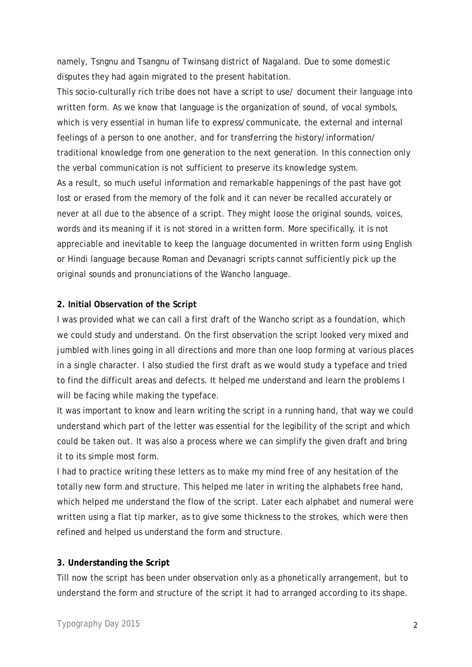namely, Tsngnu and Tsangnu of Twinsang district of Nagaland. Due to some domestic disputes they had again migrated to the present habitation.

This socio-culturally rich tribe does not have a script to use/ document their language into written form. As we know that language is the organization of sound, of vocal symbols, which is very essential in human life to express/communicate, the external and internal feelings of a person to one another, and for transferring the history/information/ traditional knowledge from one generation to the next generation. In this connection only the verbal communication is not sufficient to preserve its knowledge system. As a result, so much useful information and remarkable happenings of the past have got lost or erased from the memory of the folk and it can never be recalled accurately or never at all due to the absence of a script. They might loose the original sounds, voices, words and its meaning if it is not stored in a written form. More specifically, it is not appreciable and inevitable to keep the language documented in written form using English or Hindi language because Roman and Devanagri scripts cannot sufficiently pick up the original sounds and pronunciations of the Wancho language.

### **2. Initial Observation of the Script**

I was provided what we can call a first draft of the Wancho script as a foundation, which we could study and understand. On the first observation the script looked very mixed and jumbled with lines going in all directions and more than one loop forming at various places in a single character. I also studied the first draft as we would study a typeface and tried to find the difficult areas and defects. It helped me understand and learn the problems I will be facing while making the typeface.

It was important to know and learn writing the script in a running hand, that way we could understand which part of the letter was essential for the legibility of the script and which could be taken out. It was also a process where we can simplify the given draft and bring it to its simple most form.

I had to practice writing these letters as to make my mind free of any hesitation of the totally new form and structure. This helped me later in writing the alphabets free hand, which helped me understand the flow of the script. Later each alphabet and numeral were written using a flat tip marker, as to give some thickness to the strokes, which were then refined and helped us understand the form and structure.

### **3. Understanding the Script**

Till now the script has been under observation only as a phonetically arrangement, but to understand the form and structure of the script it had to arranged according to its shape.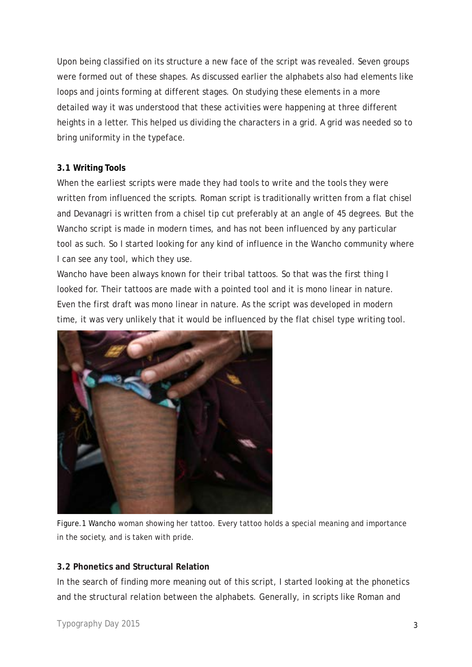Upon being classified on its structure a new face of the script was revealed. Seven groups were formed out of these shapes. As discussed earlier the alphabets also had elements like loops and joints forming at different stages. On studying these elements in a more detailed way it was understood that these activities were happening at three different heights in a letter. This helped us dividing the characters in a grid. A grid was needed so to bring uniformity in the typeface.

### **3.1 Writing Tools**

When the earliest scripts were made they had tools to write and the tools they were written from influenced the scripts. Roman script is traditionally written from a flat chisel and Devanagri is written from a chisel tip cut preferably at an angle of 45 degrees. But the Wancho script is made in modern times, and has not been influenced by any particular tool as such. So I started looking for any kind of influence in the Wancho community where I can see any tool, which they use.

Wancho have been always known for their tribal tattoos. So that was the first thing I looked for. Their tattoos are made with a pointed tool and it is mono linear in nature. Even the first draft was mono linear in nature. As the script was developed in modern time, it was very unlikely that it would be influenced by the flat chisel type writing tool.



Figure.1 Wancho woman showing her tattoo*.* Every tattoo holds a special meaning and importance in the society, and is taken with pride.

# **3.2 Phonetics and Structural Relation**

In the search of finding more meaning out of this script, I started looking at the phonetics and the structural relation between the alphabets. Generally, in scripts like Roman and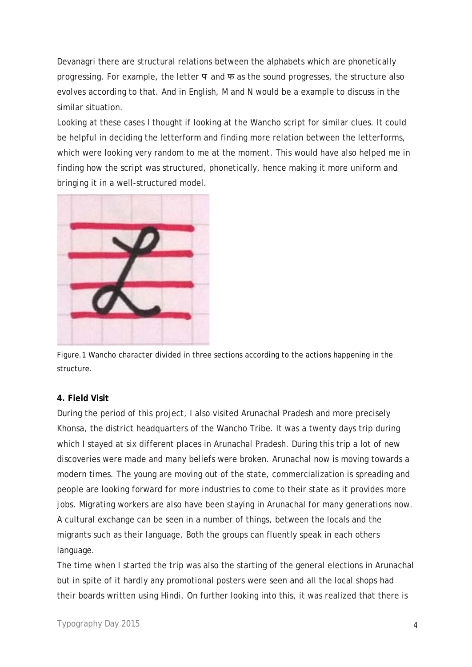Devanagri there are structural relations between the alphabets which are phonetically progressing. For example, the letter  $\Pi$  and  $\Pi$  as the sound progresses, the structure also evolves according to that. And in English, M and N would be a example to discuss in the similar situation.

Looking at these cases I thought if looking at the Wancho script for similar clues. It could be helpful in deciding the letterform and finding more relation between the letterforms, which were looking very random to me at the moment. This would have also helped me in finding how the script was structured, phonetically, hence making it more uniform and bringing it in a well-structured model.



Figure.1 Wancho character divided in three sections according to the actions happening in the structure.

### **4. Field Visit**

During the period of this project, I also visited Arunachal Pradesh and more precisely Khonsa, the district headquarters of the Wancho Tribe. It was a twenty days trip during which I stayed at six different places in Arunachal Pradesh. During this trip a lot of new discoveries were made and many beliefs were broken. Arunachal now is moving towards a modern times. The young are moving out of the state, commercialization is spreading and people are looking forward for more industries to come to their state as it provides more jobs. Migrating workers are also have been staying in Arunachal for many generations now. A cultural exchange can be seen in a number of things, between the locals and the migrants such as their language. Both the groups can fluently speak in each others language.

The time when I started the trip was also the starting of the general elections in Arunachal but in spite of it hardly any promotional posters were seen and all the local shops had their boards written using Hindi. On further looking into this, it was realized that there is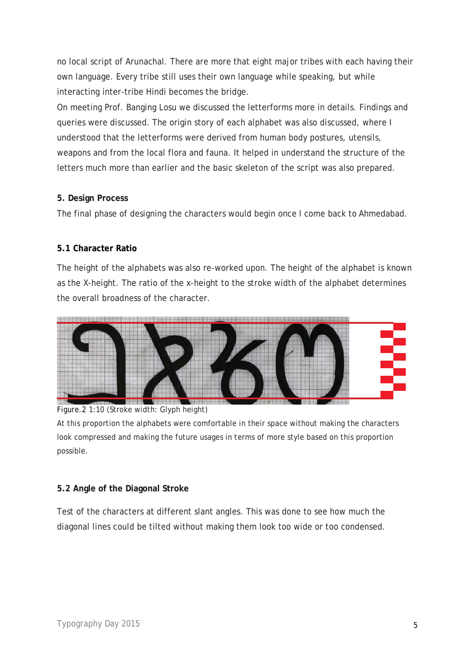no local script of Arunachal. There are more that eight major tribes with each having their own language. Every tribe still uses their own language while speaking, but while interacting inter-tribe Hindi becomes the bridge.

On meeting Prof. Banging Losu we discussed the letterforms more in details. Findings and queries were discussed. The origin story of each alphabet was also discussed, where I understood that the letterforms were derived from human body postures, utensils, weapons and from the local flora and fauna. It helped in understand the structure of the letters much more than earlier and the basic skeleton of the script was also prepared.

### **5. Design Process**

The final phase of designing the characters would begin once I come back to Ahmedabad.

# **5.1 Character Ratio**

The height of the alphabets was also re-worked upon. The height of the alphabet is known as the X-height. The ratio of the x-height to the stroke width of the alphabet determines the overall broadness of the character.



Figure.2 1:10 (Stroke width: Glyph height)

At this proportion the alphabets were comfortable in their space without making the characters look compressed and making the future usages in terms of more style based on this proportion possible.

# **5.2 Angle of the Diagonal Stroke**

Test of the characters at different slant angles. This was done to see how much the diagonal lines could be tilted without making them look too wide or too condensed.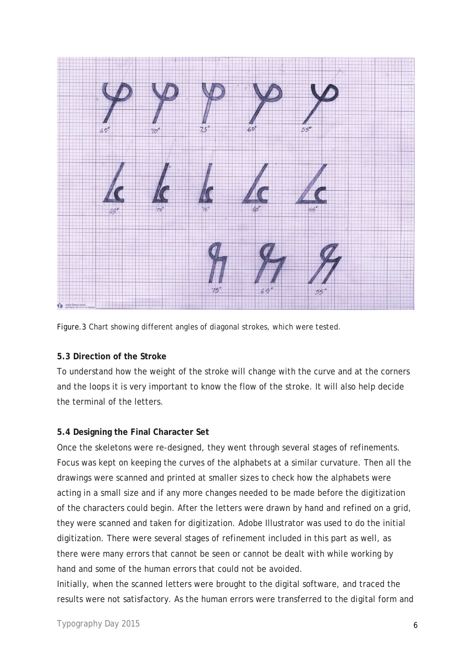

Figure.3 Chart showing different angles of diagonal strokes, which were tested.

### **5.3 Direction of the Stroke**

To understand how the weight of the stroke will change with the curve and at the corners and the loops it is very important to know the flow of the stroke. It will also help decide the terminal of the letters.

### **5.4 Designing the Final Character Set**

Once the skeletons were re-designed, they went through several stages of refinements. Focus was kept on keeping the curves of the alphabets at a similar curvature. Then all the drawings were scanned and printed at smaller sizes to check how the alphabets were acting in a small size and if any more changes needed to be made before the digitization of the characters could begin. After the letters were drawn by hand and refined on a grid, they were scanned and taken for digitization. Adobe Illustrator was used to do the initial digitization. There were several stages of refinement included in this part as well, as there were many errors that cannot be seen or cannot be dealt with while working by hand and some of the human errors that could not be avoided.

Initially, when the scanned letters were brought to the digital software, and traced the results were not satisfactory. As the human errors were transferred to the digital form and